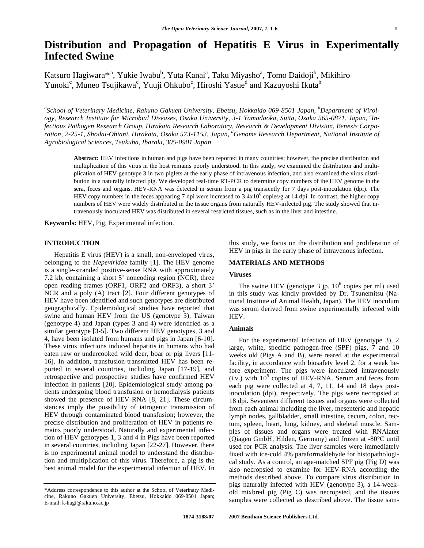# **Distribution and Propagation of Hepatitis E Virus in Experimentally Infected Swine**

Katsuro Hagiwara\*<sup>,a</sup>, Yukie Iwabu<sup>b</sup>, Yuta Kanai<sup>a</sup>, Taku Miyasho<sup>a</sup>, Tomo Daidoji<sup>b</sup>, Mikihiro Yunoki<sup>c</sup>, Muneo Tsujikawa<sup>c</sup>, Yuuji Ohkubo<sup>c</sup>, Hiroshi Yasue<sup>d</sup> and Kazuyoshi Ikuta<sup>b</sup>

<sup>a</sup>School of Veterinary Medicine, Rakuno Gakuen University, Ebetsu, Hokkaido 069-8501 Japan, <sup>b</sup>Department of Virol*ogy, Research Institute for Microbial Diseases, Osaka University, 3-1 Yamadaoka, Suita, Osaka 565-0871, Japan, <sup>c</sup> Infectious Pathogen Research Group, Hirakata Research Laboratory, Research & Development Division, Benesis Corporation, 2-25-1, Shodai-Ohtani, Hirakata, Osaka 573-1153, Japan, <sup>d</sup> Genome Research Department, National Institute of Agrobiological Sciences, Tsukuba, Ibaraki, 305-0901 Japan* 

**Abstract:** HEV infections in human and pigs have been reported in many countries; however, the precise distribution and multiplication of this virus in the host remains poorly understood. In this study, we examined the distribution and multiplication of HEV genotype 3 in two piglets at the early phase of intravenous infection, and also examined the virus distribution in a naturally infected pig. We developed real-time RT-PCR to determine copy numbers of the HEV genome in the sera, feces and organs. HEV-RNA was detected in serum from a pig transiently for 7 days post-inoculation (dpi). The HEV copy numbers in the feces appearing 7 dpi were increased to  $3.4x10^6$  copies/g at 14 dpi. In contrast, the higher copy numbers of HEV were widely distributed in the tissue organs from naturally HEV-infected pig. The study showed that intravenously inoculated HEV was distributed in several restricted tissues, such as in the liver and intestine.

**Keywords:** HEV, Pig, Experimental infection.

## **INTRODUCTION**

 Hepatitis E virus (HEV) is a small, non-enveloped virus, belonging to the *Hepeviridae* family [1]. The HEV genome is a single-stranded positive-sense RNA with approximately 7.2 kb, containing a short 5' noncoding region (NCR), three open reading frames (ORF1, ORF2 and ORF3), a short 3' NCR and a poly (A) tract [2]. Four different genotypes of HEV have been identified and such genotypes are distributed geographically. Epidemiological studies have reported that swine and human HEV from the US (genotype 3), Taiwan (genotype 4) and Japan (types 3 and 4) were identified as a similar genotype [3-5]. Two different HEV genotypes, 3 and 4, have been isolated from humans and pigs in Japan [6-10]. These virus infections induced hepatitis in humans who had eaten raw or undercooked wild deer, boar or pig livers [11- 16]. In addition, transfusion-transmitted HEV has been reported in several countries, including Japan [17-19], and retrospective and prospective studies have confirmed HEV infection in patients [20]. Epidemiological study among patients undergoing blood transfusion or hemodialysis patients showed the presence of HEV-RNA [8, 21]. These circumstances imply the possibility of iatrogenic transmission of HEV through contaminated blood transfusion; however, the precise distribution and proliferation of HEV in patients remains poorly understood. Naturally and experimental infection of HEV genotypes 1, 3 and 4 in Pigs have been reported in several countries, including Japan [22-27]. However, there is no experimental animal model to understand the distribution and multiplication of this virus. Therefore, a pig is the best animal model for the experimental infection of HEV. In

this study, we focus on the distribution and proliferation of HEV in pigs in the early phase of intravenous infection.

## **MATERIALS AND METHODS**

# **Viruses**

The swine HEV (genotype 3 jp,  $10^6$  copies per ml) used in this study was kindly provided by Dr. Tsunemitsu (National Institute of Animal Health, Japan). The HEV inoculum was serum derived from swine experimentally infected with HEV.

## **Animals**

 For the experimental infection of HEV (genotype 3), 2 large, white, specific pathogen-free (SPF) pigs, 7 and 10 weeks old (Pigs A and B), were reared at the experimental facility, in accordance with biosafety level 2, for a week before experiment. The pigs were inoculated intravenously  $(i.v.)$  with  $10<sup>5</sup>$  copies of HEV-RNA. Serum and feces from each pig were collected at 4, 7, 11, 14 and 18 days postinoculation (dpi), respectively. The pigs were necropsied at 18 dpi. Seventeen different tissues and organs were collected from each animal including the liver, mesenteric and hepatic lymph nodes, gallbladder, small intestine, cecum, colon, rectum, spleen, heart, lung, kidney, and skeletal muscle. Samples of tissues and organs were treated with RNAlater (Qiagen GmbH, Hilden, Germany) and frozen at -80°C until used for PCR analysis. The liver samples were immediately fixed with ice-cold 4% paraformaldehyde for histopathological study. As a control, an age-matched SPF pig (Pig D) was also necropsied to examine for HEV-RNA according the methods described above. To compare virus distribution in pigs naturally infected with HEV (genotype 3), a 14-weekold mixbred pig (Pig C) was necropsied, and the tissues samples were collected as described above. The tissue sam-

<sup>\*</sup>Address correspondence to this author at the School of Veterinary Medicine, Rakuno Gakuen University, Ebetsu, Hokkaido 069-8501 Japan; E-mail: k-hagi@rakuno.ac.jp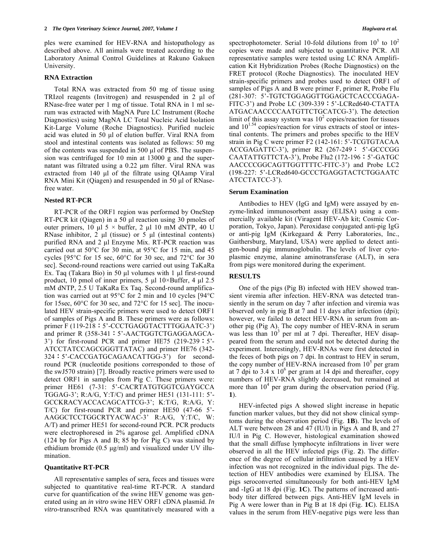ples were examined for HEV-RNA and histopathology as described above. All animals were treated according to the Laboratory Animal Control Guidelines at Rakuno Gakuen University.

#### **RNA Extraction**

 Total RNA was extracted from 50 mg of tissue using TRIzol reagents (Invitrogen) and resuspended in 2 μl of RNase-free water per 1 mg of tissue. Total RNA in 1 ml serum was extracted with MagNA Pure LC Instrument (Roche Diagnostics) using MagNA LC Total Nucleic Acid Isolation Kit-Large Volume (Roche Diagnostics). Purified nucleic acid was eluted in 50 μl of elution buffer. Viral RNA from stool and intestinal contents was isolated as follows: 50 mg of the contents was suspended in 500 μl of PBS. The suspension was centrifuged for 10 min at 13000 g and the supernatant was filtrated using a 0.22 μm filter. Viral RNA was extracted from 140 μl of the filtrate using QIAamp Viral RNA Mini Kit (Qiagen) and resuspended in 50 μl of RNasefree water.

## **Nested RT-PCR**

 RT-PCR of the ORF1 region was performed by OneStep RT-PCR kit (Qiagen) in a 50 μl reaction using 30 pmoles of outer primers, 10 μl 5  $\times$  buffer, 2 μl 10 mM dNTP, 40 U RNase inhibitor, 2 μl (tissue) or 5 μl (intestinal contents) purified RNA and 2 μl Enzyme Mix. RT-PCR reaction was carried out at 50°C for 30 min, at 95°C for 15 min, and 45 cycles [95°C for 15 sec, 60°C for 30 sec, and 72°C for 30 sec]. Second-round reactions were carried out using TaKaRa Ex. Taq (Takara Bio) in 50 μl volumes with 1 μl first-round product, 10 pmol of inner primers, 5 μl  $10 \times$ Buffer, 4 μl 2.5 mM dNTP, 2.5 U TaKaRa Ex Taq. Second-round amplification was carried out at 95°C for 2 min and 10 cycles [94°C for 15sec, 60°C for 30 sec, and 72°C for 15 sec]. The inoculated HEV strain-specific primers were used to detect ORF1 of samples of Pigs A and B. These primers were as follows: primer F (119-218: 5'-CCCTGAGGTACTTTGGAATC-3') and primer R (358-341: 5'-AACTGGTCTGAGGAAGCA-3') for first-round PCR and primer HE75  $(219-239:5')$ ATCCTATCCAGCGGGTTATAC) and primer HE76 (342- 324:5'-CACCGATGCAGAACATTGG-3') for secondround PCR (nucleotide positions corresponded to those of the swJ570 strain) [7]. Broadly reactive primers were used to detect ORF1 in samples from Pig C. These primers were: primer HE61 (7-31: 5'-CACRTATGTGGTCGAYGCCA TGGAG-3'; R:A/G, Y:T/C) and primer HE51 (131-111: 5'- GCCKRACYACCACAGCATTCG-3'; K:T/G, R:A/G, Y: T/C) for first-round PCR and primer HE50 (47-66 5'- AAGGCTCCTGGCRTYACWAC-3' R:A/G, Y:T/C, W: A/T) and primer HE51 for second-round PCR. PCR products were electrophoresed in 2% agarose gel. Amplified cDNA (124 bp for Pigs A and B; 85 bp for Pig C) was stained by ethidium bromide (0.5 μg/ml) and visualized under UV illumination.

#### **Quantitative RT-PCR**

 All representative samples of sera, feces and tissues were subjected to quantitative real-time RT-PCR. A standard curve for quantification of the swine HEV genome was generated using an *in vitro* swine HEV ORF1 cDNA plasmid. *In vitro*-transcribed RNA was quantitatively measured with a

spectrophotometer. Serial 10-fold dilutions from  $10^5$  to  $10^2$ copies were made and subjected to quantitative PCR. All representative samples were tested using LC RNA Amplification Kit Hybridization Probes (Roche Diagnostics) on the FRET protocol (Roche Diagnostics). The inoculated HEV strain-specific primers and probes used to detect ORF1 of samples of Pigs A and B were primer F, primer R, Probe Flu (281-307: 5'-TGTCTGGAGGTTGGAGCTCACCCGAGA-FITC-3') and Probe LC  $(309-339:5)$ -LCRed640-CTATTA ATGACAACCCCAATGTTCTGCATCG-3'). The detection limit of this assay system was  $10^2$  copies/reaction for tissues and  $10^{1.54}$  copies/reaction for virus extracts of stool or intestinal contents. The primers and probes specific to the HEV strain in Pig C were primer F2 (142-161: 5'-TCGTGTACAA ACCGAGATTC-3'), primer R2 (267-249: 5'-GCCCGG CAATATTGTTCTA-3'), Probe Flu2 (172-196: 5'-GATGC AACCCCGGCAGTTGGTTTTC-FITC-3') and Probe LC2 (198-227: 5'-LCRed640-GCCCTGAGGTACTCTGGAATC ATCCTATCC-3').

#### **Serum Examination**

 Antibodies to HEV (IgG and IgM) were assayed by enzyme-linked immunosorbent assay (ELISA) using a commercially available kit (Viragent HEV-Ab kit; Cosmic Corporation, Tokyo, Japan). Peroxidase conjugated anti-pig IgG or anti-pig IgM (Kirkegaard & Perry Laboratories, Inc., Gaithersburg, Maryland, USA) were applied to detect antigen-bound pig immunoglobulin. The levels of liver cytoplasmic enzyme, alanine aminotransferase (ALT), in sera from pigs were monitored during the experiment.

## **RESULTS**

 One of the pigs (Pig B) infected with HEV showed transient viremia after infection. HEV-RNA was detected transiently in the serum on day 7 after infection and viremia was observed only in pig B at 7 and 11 days after infection (dpi); however, we failed to detect HEV-RNA in serum from another pig (Pig A). The copy number of HEV-RNA in serum was less than  $10^3$  per ml at 7 dpi. Thereafter, HEV disappeared from the serum and could not be detected during the experiment. Interestingly, HEV-RNAs were first detected in the feces of both pigs on 7 dpi. In contrast to HEV in serum, the copy number of HEV-RNA increased from  $10^5$  per gram at 7 dpi to 3.4 x  $10^6$  per gram at 14 dpi and thereafter, copy numbers of HEV-RNA slightly decreased, but remained at more than  $10<sup>4</sup>$  per gram during the observation period (Fig. **1**).

 HEV-infected pigs A showed slight increase in hepatic function marker values, but they did not show clinical symptoms during the observation period (Fig. **1B**). The levels of ALT were between 28 and 47 (IU/l) in Pigs A and B, and 27 IU/l in Pig C. However, histological examination showed that the small diffuse lymphocyte infiltrations in liver were observed in all the HEV infected pigs (Fig. **2**). The difference of the degree of cellular infiltration caused by a HEV infection was not recognized in the individual pigs. The detection of HEV antibodies were examined by ELISA. The pigs seroconverted simultaneously for both anti-HEV IgM and -IgG at 18 dpi (Fig. **1C**). The patterns of increased antibody titer differed between pigs. Anti-HEV IgM levels in Pig A were lower than in Pig B at 18 dpi (Fig. **1C**). ELISA values in the serum from HEV-negative pigs were less than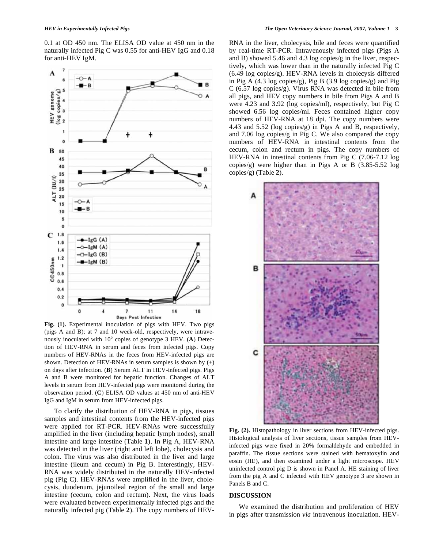0.1 at OD 450 nm. The ELISA OD value at 450 nm in the naturally infected Pig C was 0.55 for anti-HEV IgG and 0.18 for anti-HEV IgM.



**Fig. (1).** Experimental inoculation of pigs with HEV. Two pigs (pigs A and B); at 7 and 10 week-old, respectively, were intravenously inoculated with  $10^5$  copies of genotype 3 HEV. (A) Detection of HEV-RNA in serum and feces from infected pigs. Copy numbers of HEV-RNAs in the feces from HEV-infected pigs are shown. Detection of HEV-RNAs in serum samples is shown by (+) on days after infection. (**B**) Serum ALT in HEV-infected pigs. Pigs A and B were monitored for hepatic function. Changes of ALT levels in serum from HEV-infected pigs were monitored during the observation period. (**C**) ELISA OD values at 450 nm of anti-HEV IgG and IgM in serum from HEV-infected pigs.

 To clarify the distribution of HEV-RNA in pigs, tissues samples and intestinal contents from the HEV-infected pigs were applied for RT-PCR. HEV-RNAs were successfully amplified in the liver (including hepatic lymph nodes), small intestine and large intestine (Table **1**). In Pig A, HEV-RNA was detected in the liver (right and left lobe), cholecysis and colon. The virus was also distributed in the liver and large intestine (ileum and cecum) in Pig B. Interestingly, HEV-RNA was widely distributed in the naturally HEV-infected pig (Pig C). HEV-RNAs were amplified in the liver, cholecysis, duodenum, jejunoileal region of the small and large intestine (cecum, colon and rectum). Next, the virus loads were evaluated between experimentally infected pigs and the naturally infected pig (Table **2**). The copy numbers of HEV-

RNA in the liver, cholecysis, bile and feces were quantified by real-time RT-PCR. Intravenously infected pigs (Pigs A and B) showed 5.46 and 4.3 log copies/g in the liver, respectively, which was lower than in the naturally infected Pig C (6.49 log copies/g). HEV-RNA levels in cholecysis differed in Pig A  $(4.3 \log \text{copies/g})$ , Pig B  $(3.9 \log \text{copies/g})$  and Pig C (6.57 log copies/g). Virus RNA was detected in bile from all pigs, and HEV copy numbers in bile from Pigs A and B were 4.23 and 3.92 (log copies/ml), respectively, but Pig C showed 6.56 log copies/ml. Feces contained higher copy numbers of HEV-RNA at 18 dpi. The copy numbers were 4.43 and 5.52 (log copies/g) in Pigs A and B, respectively, and 7.06 log copies/g in Pig C. We also compared the copy numbers of HEV-RNA in intestinal contents from the cecum, colon and rectum in pigs. The copy numbers of HEV-RNA in intestinal contents from Pig C (7.06-7.12 log copies/g) were higher than in Pigs A or B (3.85-5.52 log copies/g) (Table **2**).



**Fig. (2).** Histopathology in liver sections from HEV-infected pigs. Histological analysis of liver sections, tissue samples from HEVinfected pigs were fixed in 20% formaldehyde and embedded in paraffin. The tissue sections were stained with hematoxylin and eosin (HE), and then examined under a light microscope. HEV uninfected control pig D is shown in Panel A. HE staining of liver from the pig A and C infected with HEV genotype 3 are shown in Panels B and C.

### **DISCUSSION**

 We examined the distribution and proliferation of HEV in pigs after transmission *via* intravenous inoculation. HEV-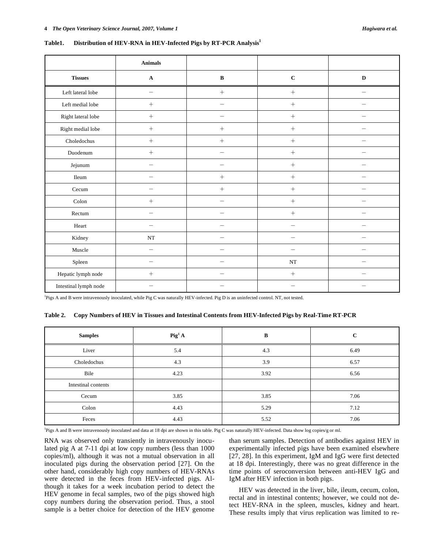|                       | <b>Animals</b>           |                          |                          |                          |
|-----------------------|--------------------------|--------------------------|--------------------------|--------------------------|
| <b>Tissues</b>        | $\mathbf A$              | $\, {\bf B}$             | $\mathbf C$              | $\mathbf D$              |
| Left lateral lobe     | $\qquad \qquad$          | $\boldsymbol{+}$         | $\boldsymbol{+}$         |                          |
| Left medial lobe      | $\boldsymbol{+}$         | $\qquad \qquad -$        | $\boldsymbol{+}$         | -                        |
| Right lateral lobe    | $\boldsymbol{+}$         | $\overline{\phantom{m}}$ | $\boldsymbol{+}$         |                          |
| Right medial lobe     | $\boldsymbol{+}$         | $\boldsymbol{+}$         | $\boldsymbol{+}$         | -                        |
| Choledochus           | $\boldsymbol{+}$         | $\boldsymbol{+}$         | $\boldsymbol{+}$         | $\overline{\phantom{0}}$ |
| Duodenum              | $\boldsymbol{+}$         | $\overline{\phantom{0}}$ | $\boldsymbol{+}$         |                          |
| Jejunum               | -                        | -                        | $\boldsymbol{+}$         |                          |
| Ileum                 |                          | $^{+}$                   | $\boldsymbol{+}$         |                          |
| Cecum                 |                          | $+$                      | $\boldsymbol{+}$         |                          |
| Colon                 | $^{+}$                   | $\sim$                   | $\boldsymbol{+}$         |                          |
| Rectum                | $\overline{\phantom{0}}$ |                          | $\boldsymbol{+}$         |                          |
| Heart                 | $\overline{\phantom{0}}$ | $\overline{\phantom{0}}$ | $\overline{\phantom{0}}$ |                          |
| Kidney                | $\rm{NT}$                | $\qquad \qquad -$        |                          | $\overline{\phantom{0}}$ |
| Muscle                | —                        | $\overline{\phantom{m}}$ | $\qquad \qquad -$        | $\qquad \qquad -$        |
| Spleen                | $\overline{\phantom{0}}$ | $\qquad \qquad -$        | $\rm{NT}$                | $\qquad \qquad -$        |
| Hepatic lymph node    | $\boldsymbol{+}$         | $\qquad \qquad -$        | $\boldsymbol{+}$         | $\overline{\phantom{0}}$ |
| Intestinal lymph node | $\overline{\phantom{m}}$ | $\overline{\phantom{m}}$ | $\qquad \qquad -$        | $\qquad \qquad -$        |

| Table1. | Distribution of HEV-RNA in HEV-Infected Pigs by RT-PCR Analysis <sup>1</sup> |  |  |
|---------|------------------------------------------------------------------------------|--|--|
|         |                                                                              |  |  |

<sup>1</sup>Pigs A and B were intravenously inoculated, while Pig C was naturally HEV-infected. Pig D is an uninfected control. NT, not tested.

| Table 2. Copy Numbers of HEV in Tissues and Intestinal Contents from HEV-Infected Pigs by Real-Time RT-PCR |  |  |
|------------------------------------------------------------------------------------------------------------|--|--|
|                                                                                                            |  |  |

| <b>Samples</b>      | $\text{Pig}^{1} \text{A}$ | B    | $\mathbf{C}$ |
|---------------------|---------------------------|------|--------------|
| Liver               | 5.4                       | 4.3  | 6.49         |
| Choledochus         | 4.3                       | 3.9  | 6.57         |
| Bile                | 4.23                      | 3.92 | 6.56         |
| Intestinal contents |                           |      |              |
| Cecum               | 3.85                      | 3.85 | 7.06         |
| Colon               | 4.43                      | 5.29 | 7.12         |
| Feces               | 4.43                      | 5.52 | 7.06         |

<sup>1</sup>Pigs A and B were intravenously inoculated and data at 18 dpi are shown in this table. Pig C was naturally HEV-infected. Data show log copies/g or ml.

RNA was observed only transiently in intravenously inoculated pig A at 7-11 dpi at low copy numbers (less than 1000 copies/ml), although it was not a mutual observation in all inoculated pigs during the observation period [27]. On the other hand, considerably high copy numbers of HEV-RNAs were detected in the feces from HEV-infected pigs. Although it takes for a week incubation period to detect the HEV genome in fecal samples, two of the pigs showed high copy numbers during the observation period. Thus, a stool sample is a better choice for detection of the HEV genome than serum samples. Detection of antibodies against HEV in experimentally infected pigs have been examined elsewhere [27, 28]. In this experiment, IgM and IgG were first detected at 18 dpi. Interestingly, there was no great difference in the time points of seroconversion between anti-HEV IgG and IgM after HEV infection in both pigs.

 HEV was detected in the liver, bile, ileum, cecum, colon, rectal and in intestinal contents; however, we could not detect HEV-RNA in the spleen, muscles, kidney and heart. These results imply that virus replication was limited to re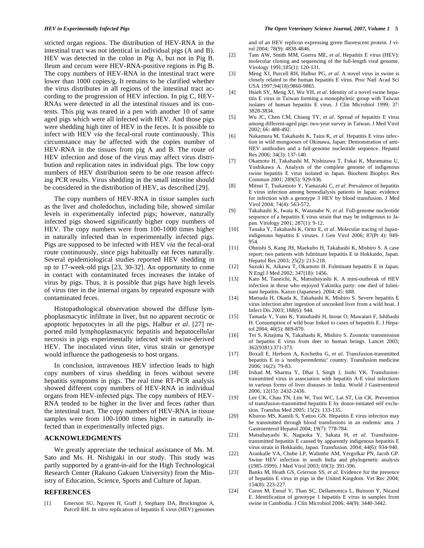stricted organ regions. The distribution of HEV-RNA in the intestinal tract was not identical in individual pigs (A and B). HEV was detected in the colon in Pig A, but not in Pig B. Ileum and cecum were HEV-RNA-positive regions in Pig B. The copy numbers of HEV-RNA in the intestinal tract were lower than 1000 copies/g. It remains to be clarified whether the virus distributes in all regions of the intestinal tract according to the progression of HEV infection. In pig C, HEV-RNAs were detected in all the intestinal tissues and its contents. This pig was reared in a pen with another 10 of same aged pigs which were all infected with HEV. And those pigs were shedding high titer of HEV in the feces. It is possible to infect with HEV *via* the fecal-oral route continuously. This circumstance may be affected with the copies number of HEV-RNA in the tissues from pig A and B. The route of HEV infection and dose of the virus may affect virus distribution and replication rates in individual pigs. The low copy numbers of HEV distribution seem to be one reason affecting PCR results. Virus shedding in the small intestine should be considered in the distribution of HEV, as described [29].

 The copy numbers of HEV-RNA in tissue samples such as the liver and choledochus, including bile, showed similar levels in experimentally infected pigs; however, naturally infected pigs showed significantly higher copy numbers of HEV. The copy numbers were from 100-1000 times higher in naturally infected than in experimentally infected pigs. Pigs are supposed to be infected with HEV *via* the fecal-oral route continuously, since pigs habitually eat feces naturally. Several epidemiological studies reported HEV shedding in up to 17-week-old pigs [23, 30-32]. An opportunity to come in contact with contaminated feces increases the intake of virus by pigs. Thus, it is possible that pigs have high levels of virus titer in the internal organs by repeated exposure with contaminated feces.

 Histopathological observation showed the diffuse lymphoplasmacytic infiltrate in liver, but no apparent necrotic or apoptotic hepatocytes in all the pigs. Halbur *et al*. [27] reported mild lymphoplasmacytic hepatitis and hepatocellular necrosis in pigs experimentally infected with swine-derived HEV. The inoculated virus titer, virus strain or genotype would influence the pathogenesis to host organs.

 In conclusion, intravenous HEV infection leads to high copy numbers of virus shedding in feces without severe hepatitis symptoms in pigs. The real time RT-PCR analysis showed different copy numbers of HEV-RNA in individual organs from HEV-infected pigs. The copy numbers of HEV-RNA tended to be higher in the liver and feces rather than the intestinal tract. The copy numbers of HEV-RNA in tissue samples were from 100-1000 times higher in naturally infected than in experimentally infected pigs.

#### **ACKNOWLEDGMENTS**

 We greatly appreciate the technical assistance of Ms. M. Sato and Ms. H. Nishigaki in our study. This study was partly supported by a grant-in-aid for the High Technological Research Center (Rakuno Gakuen University) from the Ministry of Education, Science, Sports and Culture of Japan.

## **REFERENCES**

[1] Emerson SU, Nguyen H, Graff J, Stephany DA, Brockington A, Purcell RH. *In vitro* replication of hepatitis E virus (HEV) genomes and of an HEV replicon expressing green fluorescent protein. J virol 2004; 78(9): 4838-4846.

- [2] Tam AW, Smith MM, Guerra ME, *et al*. Hepatitis E virus (HEV): molecular cloning and sequencing of the full-length viral genome. Virology 1991;185(1): 120-131.
- [3] Meng XJ, Purcell RH, Halbur PG, *et al*. A novel virus in swine is closely related to the human hepatitis E virus. Proc Natl Acad Sci USA 1997;94(18):9860-9865.
- [4] Hsieh SY, Meng XJ, Wu YH, *et al*. Identity of a novel swine hepatitis E virus in Taiwan forming a monophyletic group with Taiwan isolates of human hepatitis E virus. J Clin Microbiol 1999; 37: 3828-3834.
- [5] Wu JC, Chen CM, Chiang TY, *et al*. Spread of hepatitis E virus among different-aged pigs: two-year survey in Taiwan. J Med Virol 2002; 66: 488-492.
- [6] Nakamura M, Takahashi K, Taira K, *et al*. Hepatitis E virus infection in wild mongooses of Okinawa, Japan: Demonstration of anti-HEV antibodies and a full-genome nucleotide sequence. Hepatol Res 2006; 34(3): 137-140.
- [7] Okamoto H, Takahashi M, Nishizawa T, Fukai K, Muramatsu U, Yoshikawa A. Analysis of the complete genome of indigenous swine hepatitis E virus isolated in Japan. Biochem Biophys Res Commun 2001; 289(5): 929-936.
- [8] Mitsui T, Tsukamoto Y, Yamazaki C, *et al*. Prevalence of hepatitis E virus infection among hemodialysis patients in Japan: evidence for infection with a genotype 3 HEV by blood transfusion. J Med Virol 2004; 74(4): 563-572.
- [9] Takahashi K, Iwata K, Watanabe N, *et al*. Full-genome nucleotide sequence of a hepatitis E virus strain that may be indigenous to Japan. Virology 2001; 287(1): 9-12.
- [10] Tanaka Y, Takahashi K, Orito E, *et al*. Molecular tracing of Japanindigenous hepatitis E viruses. J Gen Virol 2006; 87(Pt 4): 949- 954.
- [11] Ohnishi S, Kang JH, Maekubo H, Takahashi K, Mishiro S. A case report: two patients with fulminant hepatitis E in Hokkaido, Japan. Hepatol Res 2003; 25(2): 213-218.
- [12] Suzuki K, Aikawa T, Okamoto H. Fulminant hepatitis E in Japan. N Engl J Med 2002; 347(18): 1456.
- [13] Kato M, Taneichi, K, Matsubayashi K. A mini-outbreak of HEV infection in those who enjoyed Yakiniku party: one died of fulminant hepatitis. Kanzo (Japanese). 2004; 45: 688.
- [14] Matsuda H, Okada K, Takahashi K, Mishiro S. Severe hepatitis E virus infection after ingestion of uncooked liver from a wild boar. J Infect Dis 2003; 188(6): 944.
- [15] Tamada Y, Yano K, Yatsuhashi H, Inoue O, Mawatari F, Ishibashi H. Consumption of wild boar linked to cases of hepatitis E. J Hepatol 2004; 40(5): 869-870.
- [16] Tei S, Kitajima N, Takahashi K, Mishiro S. Zoonotic transmission of hepatitis E virus from deer to human beings. Lancet 2003; 362(9381):371-373.
- [17] Boxall E, Herborn A, Kochethu G, *et al*. Transfusion-transmitted hepatitis E in a 'nonhyperendemic' country. Transfusion medicine 2006; 16(2): 79-83.
- [18] Irshad M, Sharma Y, Dhar I, Singh J, Joshi YK. Transfusiontransmitted virus in association with hepatitis A-E viral infections in various forms of liver diseases in India. World J Gastroenterol 2006; 12(15): 2432-2436.
- [19] Lee CK, Chau TN, Lim W, Tsoi WC, Lai ST, Lin CK. Prevention of transfusion-transmitted hepatitis E by donor-initiated self exclusion. Transfus Med 2005; 15(2): 133-135.
- [20] Khuroo MS, Kamili S, Yattoo GN. Hepatitis E virus infection may be transmitted through blood transfusions in an endemic area. J Gastroenterol Hepatol 2004; 19(7): 778-784.
- [21] Matsubayashi K, Nagaoka Y, Sakata H, *et al*. Transfusiontransmitted hepatitis E caused by apparently indigenous hepatitis E virus strain in Hokkaido, Japan. Transfusion. 2004; 44(6): 934-940.
- [22] Arankalle VA, Chobe LP, Walimbe AM, Yergolkar PN, Jacob GP. Swine HEV infection in south India and phylogenetic analysis (1985-1999). J Med Virol 2003; 69(3): 391-396.
- [23] Banks M, Heath GS, Grierson SS, *et al*. Evidence for the presence of hepatitis E virus in pigs in the United Kingdom. Vet Rec 2004; 154(8): 223-227.
- [24] Caron M, Enouf V, Than SC, Dellamonica L, Buisson Y, Nicand E. Identification of genotype 1 hepatitis E virus in samples from swine in Cambodia. J Clin Microbiol 2006; 44(9): 3440-3442.